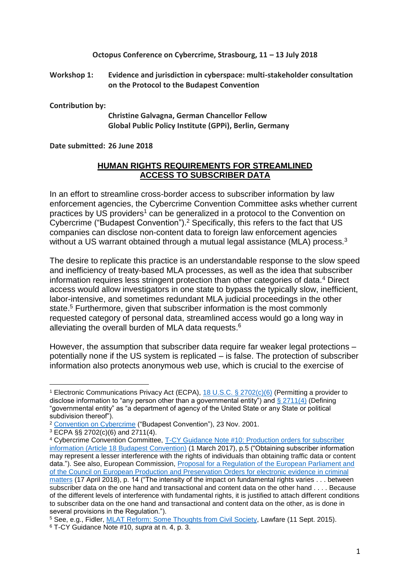**Octopus Conference on Cybercrime, Strasbourg, 11 – 13 July 2018**

**Workshop 1: Evidence and jurisdiction in cyberspace: multi-stakeholder consultation on the Protocol to the Budapest Convention** 

**Contribution by:**

**Christine Galvagna, German Chancellor Fellow Global Public Policy Institute (GPPi), Berlin, Germany**

**Date submitted: 26 June 2018**

## **HUMAN RIGHTS REQUIREMENTS FOR STREAMLINED ACCESS TO SUBSCRIBER DATA**

In an effort to streamline cross-border access to subscriber information by law enforcement agencies, the Cybercrime Convention Committee asks whether current practices by US providers<sup>1</sup> can be generalized in a protocol to the Convention on Cybercrime ("Budapest Convention"). <sup>2</sup> Specifically, this refers to the fact that US companies can disclose non-content data to foreign law enforcement agencies without a US warrant obtained through a mutual legal assistance (MLA) process.<sup>3</sup>

The desire to replicate this practice is an understandable response to the slow speed and inefficiency of treaty-based MLA processes, as well as the idea that subscriber information requires less stringent protection than other categories of data.<sup>4</sup> Direct access would allow investigators in one state to bypass the typically slow, inefficient, labor-intensive, and sometimes redundant MLA judicial proceedings in the other state. <sup>5</sup> Furthermore, given that subscriber information is the most commonly requested category of personal data, streamlined access would go a long way in alleviating the overall burden of MLA data requests. 6

However, the assumption that subscriber data require far weaker legal protections – potentially none if the US system is replicated – is false. The protection of subscriber information also protects anonymous web use, which is crucial to the exercise of

l

<sup>&</sup>lt;sup>1</sup> Electronic Communications Privacy Act (ECPA), [18 U.S.C. § 2702\(c\)\(6\)](https://www.law.cornell.edu/uscode/text/18/2702) (Permitting a provider to disclose information to "any person other than a governmental entity") and  $\S 2711(4)$  (Defining "governmental entity" as "a department of agency of the United State or any State or political subdivision thereof").

<sup>2</sup> [Convention on Cybercrime](https://www.coe.int/en/web/conventions/full-list/-/conventions/rms/0900001680081561) ("Budapest Convention"), 23 Nov. 2001.

<sup>3</sup> ECPA §§ 2702(c)(6) and 2711(4).

<sup>4</sup> Cybercrime Convention Committee, [T-CY Guidance Note #10: Production orders for subscriber](https://rm.coe.int/16806f943e)  [information \(Article 18 Budapest Convention\)](https://rm.coe.int/16806f943e) (1 March 2017), p.5 ("Obtaining subscriber information may represent a lesser interference with the rights of individuals than obtaining traffic data or content data."). See also, European Commission, Proposal for a Regulation of [the European Parliament and](https://ec.europa.eu/info/law/better-regulation/initiatives/com-2018-225_en)  of the Council on [European Production and Preservation Orders for electronic evidence in criminal](https://ec.europa.eu/info/law/better-regulation/initiatives/com-2018-225_en)  [matters](https://ec.europa.eu/info/law/better-regulation/initiatives/com-2018-225_en) (17 April 2018), p. 14 ("The intensity of the impact on fundamental rights varies . . . between subscriber data on the one hand and transactional and content data on the other hand . . . . Because of the different levels of interference with fundamental rights, it is justified to attach different conditions to subscriber data on the one hand and transactional and content data on the other, as is done in several provisions in the Regulation.").

<sup>5</sup> See, e.g., Fidler, [MLAT Reform: Some Thoughts from Civil Society,](https://www.lawfareblog.com/mlat-reform-some-thoughts-civil-society) Lawfare (11 Sept. 2015). <sup>6</sup> T-CY Guidance Note #10, *supra* at n. 4, p. 3.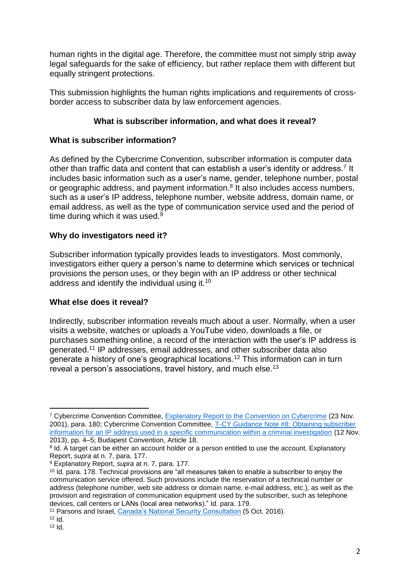human rights in the digital age. Therefore, the committee must not simply strip away legal safeguards for the sake of efficiency, but rather replace them with different but equally stringent protections.

This submission highlights the human rights implications and requirements of crossborder access to subscriber data by law enforcement agencies.

# **What is subscriber information, and what does it reveal?**

# **What is subscriber information?**

As defined by the Cybercrime Convention, subscriber information is computer data other than traffic data and content that can establish a user's identity or address.<sup>7</sup> It includes basic information such as a user's name, gender, telephone number, postal or geographic address, and payment information.<sup>8</sup> It also includes access numbers, such as a user's IP address, telephone number, website address, domain name, or email address, as well as the type of communication service used and the period of time during which it was used.<sup>9</sup>

# **Why do investigators need it?**

Subscriber information typically provides leads to investigators. Most commonly, investigators either query a person's name to determine which services or technical provisions the person uses, or they begin with an IP address or other technical address and identify the individual using it.<sup>10</sup>

#### **What else does it reveal?**

Indirectly, subscriber information reveals much about a user. Normally, when a user visits a website, watches or uploads a YouTube video, downloads a file, or purchases something online, a record of the interaction with the user's IP address is generated. <sup>11</sup> IP addresses, email addresses, and other subscriber data also generate a history of one's geographical locations. <sup>12</sup> This information can in turn reveal a person's associations, travel history, and much else.<sup>13</sup>

l <sup>7</sup> Cybercrime Convention Committee, [Explanatory Report to the Convention on Cybercrime](https://rm.coe.int/16800cce5b) (23 Nov. 2001), para. 180; Cybercrime Convention Committee, [T-CY Guidance Note #8: Obtaining subscriber](https://rm.coe.int/16802e7130)  [information for an IP address used in a specific communication within a criminal investigation](https://rm.coe.int/16802e7130) (12 Nov. 2013), pp. 4–5; Budapest Convention, Article 18.

<sup>&</sup>lt;sup>8</sup> Id. A target can be either an account holder or a person entitled to use the account. Explanatory Report, *supra* at n. 7, para. 177.

<sup>9</sup> Explanatory Report, *supra* at n. 7, para. 177.

<sup>&</sup>lt;sup>10</sup> Id. para. 178. Technical provisions are "all measures taken to enable a subscriber to enjoy the communication service offered. Such provisions include the reservation of a technical number or address (telephone number, web site address or domain name, e-mail address, etc.), as well as the provision and registration of communication equipment used by the subscriber, such as telephone devices, call centers or LANs (local area networks)." Id. para. 179.

<sup>11</sup> Parsons and Israel, [Canada's National Security Consultation](https://citizenlab.ca/2016/10/digital-anonymity-subscriber-identification-revisited-yet-again/) (5 Oct. 2016).

 $12$  Id.

 $13$   $\text{Id}$ .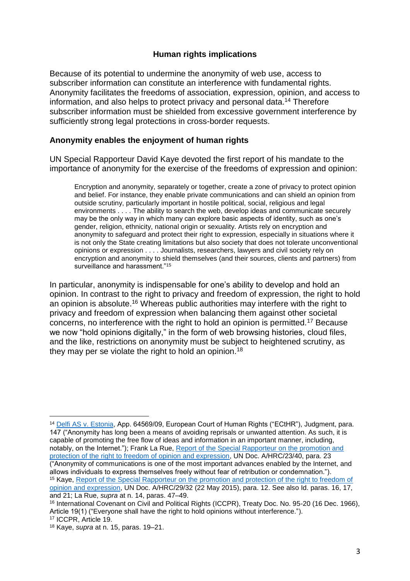# **Human rights implications**

Because of its potential to undermine the anonymity of web use, access to subscriber information can constitute an interference with fundamental rights. Anonymity facilitates the freedoms of association, expression, opinion, and access to information, and also helps to protect privacy and personal data. <sup>14</sup> Therefore subscriber information must be shielded from excessive government interference by sufficiently strong legal protections in cross-border requests.

# **Anonymity enables the enjoyment of human rights**

UN Special Rapporteur David Kaye devoted the first report of his mandate to the importance of anonymity for the exercise of the freedoms of expression and opinion:

Encryption and anonymity, separately or together, create a zone of privacy to protect opinion and belief. For instance, they enable private communications and can shield an opinion from outside scrutiny, particularly important in hostile political, social, religious and legal environments . . . . The ability to search the web, develop ideas and communicate securely may be the only way in which many can explore basic aspects of identity, such as one's gender, religion, ethnicity, national origin or sexuality. Artists rely on encryption and anonymity to safeguard and protect their right to expression, especially in situations where it is not only the State creating limitations but also society that does not tolerate unconventional opinions or expression . . . . Journalists, researchers, lawyers and civil society rely on encryption and anonymity to shield themselves (and their sources, clients and partners) from surveillance and harassment."<sup>15</sup>

In particular, anonymity is indispensable for one's ability to develop and hold an opinion. In contrast to the right to privacy and freedom of expression, the right to hold an opinion is absolute.<sup>16</sup> Whereas public authorities may interfere with the right to privacy and freedom of expression when balancing them against other societal concerns, no interference with the right to hold an opinion is permitted.<sup>17</sup> Because we now "hold opinions digitally," in the form of web browsing histories, cloud files, and the like, restrictions on anonymity must be subject to heightened scrutiny, as they may per se violate the right to hold an opinion.<sup>18</sup>

 $\overline{a}$ 

<sup>14</sup> [Delfi AS v. Estonia,](http://hudoc.echr.coe.int/eng?i=001-155105) App. 64569/09, European Court of Human Rights ("ECtHR"), Judgment, para. 147 ("Anonymity has long been a means of avoiding reprisals or unwanted attention. As such, it is capable of promoting the free flow of ideas and information in an important manner, including, notably, on the Internet."); Frank La Rue, [Report of the Special Rapporteur on the promotion and](https://www.ohchr.org/Documents/HRBodies/HRCouncil/RegularSession/Session23/A.HRC.23.40_EN.pdf)  [protection of the right to freedom of opinion and expression,](https://www.ohchr.org/Documents/HRBodies/HRCouncil/RegularSession/Session23/A.HRC.23.40_EN.pdf) UN Doc. A/HRC/23/40, para. 23 ("Anonymity of communications is one of the most important advances enabled by the Internet, and allows individuals to express themselves freely without fear of retribution or condemnation."). <sup>15</sup> Kaye, [Report of the Special Rapporteur on the promotion and protection of the right to freedom of](https://www.ohchr.org/EN/HRBodies/HRC/RegularSessions/Session29/Documents/A.HRC.29.32_AEV.doc)  [opinion and expression,](https://www.ohchr.org/EN/HRBodies/HRC/RegularSessions/Session29/Documents/A.HRC.29.32_AEV.doc) UN Doc. A/HRC/29/32 (22 May 2015), para. 12. See also Id. paras. 16, 17, and 21; La Rue, *supra* at n. 14, paras. 47–49.

<sup>&</sup>lt;sup>16</sup> International Covenant on Civil and Political Rights (ICCPR), Treaty Doc. No. 95-20 (16 Dec. 1966), Article 19(1) ("Everyone shall have the right to hold opinions without interference.").

<sup>17</sup> ICCPR, Article 19.

<sup>18</sup> Kaye, *supra* at n. 15, paras. 19–21.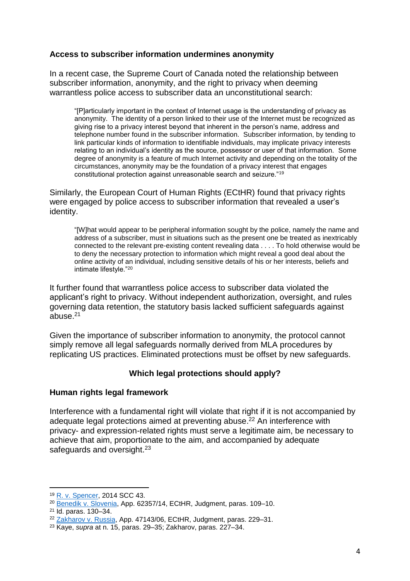# **Access to subscriber information undermines anonymity**

In a recent case, the Supreme Court of Canada noted the relationship between subscriber information, anonymity, and the right to privacy when deeming warrantless police access to subscriber data an unconstitutional search:

"[P]articularly important in the context of Internet usage is the understanding of privacy as anonymity. The identity of a person linked to their use of the Internet must be recognized as giving rise to a privacy interest beyond that inherent in the person's name, address and telephone number found in the subscriber information. Subscriber information, by tending to link particular kinds of information to identifiable individuals, may implicate privacy interests relating to an individual's identity as the source, possessor or user of that information. Some degree of anonymity is a feature of much Internet activity and depending on the totality of the circumstances, anonymity may be the foundation of a privacy interest that engages constitutional protection against unreasonable search and seizure."<sup>19</sup>

Similarly, the European Court of Human Rights (ECtHR) found that privacy rights were engaged by police access to subscriber information that revealed a user's identity.

"[W]hat would appear to be peripheral information sought by the police, namely the name and address of a subscriber, must in situations such as the present one be treated as inextricably connected to the relevant pre-existing content revealing data . . . . To hold otherwise would be to deny the necessary protection to information which might reveal a good deal about the online activity of an individual, including sensitive details of his or her interests, beliefs and intimate lifestyle."<sup>20</sup>

It further found that warrantless police access to subscriber data violated the applicant's right to privacy. Without independent authorization, oversight, and rules governing data retention, the statutory basis lacked sufficient safeguards against abuse. 21

Given the importance of subscriber information to anonymity, the protocol cannot simply remove all legal safeguards normally derived from MLA procedures by replicating US practices. Eliminated protections must be offset by new safeguards.

#### **Which legal protections should apply?**

#### **Human rights legal framework**

Interference with a fundamental right will violate that right if it is not accompanied by adequate legal protections aimed at preventing abuse.<sup>22</sup> An interference with privacy- and expression-related rights must serve a legitimate aim, be necessary to achieve that aim, proportionate to the aim, and accompanied by adequate safeguards and oversight.<sup>23</sup>

 $\overline{a}$ <sup>19</sup> [R. v. Spencer,](https://scc-csc.lexum.com/scc-csc/scc-csc/en/item/14233/index.do) 2014 SCC 43.

<sup>20</sup> Benedik [v. Slovenia,](http://hudoc.echr.coe.int/eng?i=001-182455) App. 62357/14, ECtHR, Judgment, paras. 109–10.

<sup>21</sup> Id. paras. 130–34.

<sup>&</sup>lt;sup>22</sup> Zakharov [v. Russia,](http://hudoc.echr.coe.int/eng?i=001-159324) App. 47143/06, ECtHR, Judgment, paras. 229-31.

<sup>23</sup> Kaye, *supra* at n. 15, paras. 29–35; Zakharov, paras. 227–34.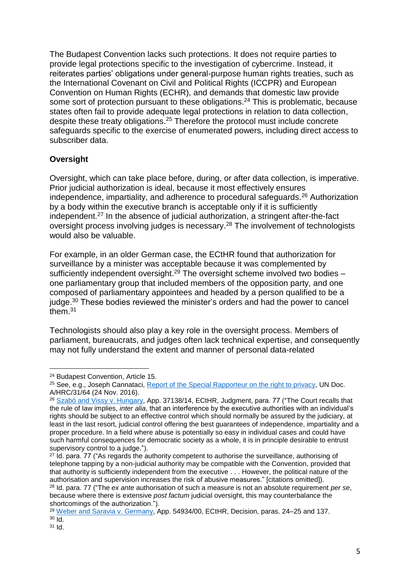The Budapest Convention lacks such protections. It does not require parties to provide legal protections specific to the investigation of cybercrime. Instead, it reiterates parties' obligations under general-purpose human rights treaties, such as the International Covenant on Civil and Political Rights (ICCPR) and European Convention on Human Rights (ECHR), and demands that domestic law provide some sort of protection pursuant to these obligations.<sup>24</sup> This is problematic, because states often fail to provide adequate legal protections in relation to data collection, despite these treaty obligations. <sup>25</sup> Therefore the protocol must include concrete safeguards specific to the exercise of enumerated powers, including direct access to subscriber data.

# **Oversight**

Oversight, which can take place before, during, or after data collection, is imperative. Prior judicial authorization is ideal, because it most effectively ensures independence, impartiality, and adherence to procedural safeguards.<sup>26</sup> Authorization by a body within the executive branch is acceptable only if it is sufficiently independent.<sup>27</sup> In the absence of judicial authorization, a stringent after-the-fact oversight process involving judges is necessary. <sup>28</sup> The involvement of technologists would also be valuable.

For example, in an older German case, the ECtHR found that authorization for surveillance by a minister was acceptable because it was complemented by sufficiently independent oversight.<sup>29</sup> The oversight scheme involved two bodies  $$ one parliamentary group that included members of the opposition party, and one composed of parliamentary appointees and headed by a person qualified to be a judge.<sup>30</sup> These bodies reviewed the minister's orders and had the power to cancel them. 31

Technologists should also play a key role in the oversight process. Members of parliament, bureaucrats, and judges often lack technical expertise, and consequently may not fully understand the extent and manner of personal data-related

 $\overline{a}$ <sup>24</sup> Budapest Convention, Article 15.

<sup>&</sup>lt;sup>25</sup> See, e.g., Joseph Cannataci, [Report of the Special Rapporteur on the right to privacy,](https://documents-dds-ny.un.org/doc/UNDOC/GEN/G16/262/26/PDF/G1626226.pdf?OpenElement) UN Doc. A/HRC/31/64 (24 Nov. 2016).

<sup>&</sup>lt;sup>26</sup> [Szabó and Vissy v. Hungary,](http://hudoc.echr.coe.int/eng?i=001-160020) App. 37138/14, ECtHR, Judgment, para. 77 ("The Court recalls that the rule of law implies, *inter alia*, that an interference by the executive authorities with an individual's rights should be subject to an effective control which should normally be assured by the judiciary, at least in the last resort, judicial control offering the best guarantees of independence, impartiality and a proper procedure. In a field where abuse is potentially so easy in individual cases and could have such harmful consequences for democratic society as a whole, it is in principle desirable to entrust supervisory control to a judge.").

<sup>&</sup>lt;sup>27</sup> Id. para. 77 ("As regards the authority competent to authorise the surveillance, authorising of telephone tapping by a non-judicial authority may be compatible with the Convention, provided that that authority is sufficiently independent from the executive . . . However, the political nature of the authorisation and supervision increases the risk of abusive measures." [citations omitted]).

<sup>28</sup> Id. para. 77 ("The *ex ante* authorisation of such a measure is not an absolute requirement *per se*, because where there is extensive *post factum* judicial oversight, this may counterbalance the shortcomings of the authorization.").

<sup>29</sup> [Weber and Saravia v. Germany,](http://hudoc.echr.coe.int/eng?i=001-76586) App. 54934/00, ECtHR, Decision, paras. 24–25 and 137.  $30$  Id.

<sup>31</sup> Id.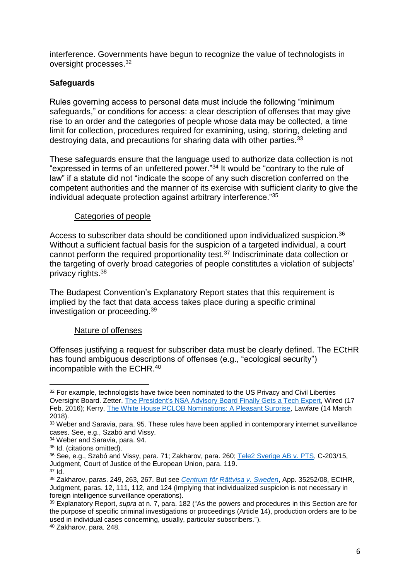interference. Governments have begun to recognize the value of technologists in oversight processes.<sup>32</sup>

# **Safeguards**

Rules governing access to personal data must include the following "minimum safeguards," or conditions for access: a clear description of offenses that may give rise to an order and the categories of people whose data may be collected, a time limit for collection, procedures required for examining, using, storing, deleting and destroying data, and precautions for sharing data with other parties.<sup>33</sup>

These safeguards ensure that the language used to authorize data collection is not "expressed in terms of an unfettered power." <sup>34</sup> It would be "contrary to the rule of law" if a statute did not "indicate the scope of any such discretion conferred on the competent authorities and the manner of its exercise with sufficient clarity to give the individual adequate protection against arbitrary interference."<sup>35</sup>

# Categories of people

Access to subscriber data should be conditioned upon individualized suspicion.<sup>36</sup> Without a sufficient factual basis for the suspicion of a targeted individual, a court cannot perform the required proportionality test.<sup>37</sup> Indiscriminate data collection or the targeting of overly broad categories of people constitutes a violation of subjects' privacy rights.<sup>38</sup>

The Budapest Convention's Explanatory Report states that this requirement is implied by the fact that data access takes place during a specific criminal investigation or proceeding.<sup>39</sup>

#### Nature of offenses

Offenses justifying a request for subscriber data must be clearly defined. The ECtHR has found ambiguous descriptions of offenses (e.g., "ecological security") incompatible with the ECHR. 40

l <sup>32</sup> For example, technologists have twice been nominated to the US Privacy and Civil Liberties Oversight Board. Zetter, [The President's NSA Advisory Board Finally Gets a Tech Expert,](https://www.wired.com/2016/02/the-presidents-nsa-advisory-board-finally-gets-a-tech-expert/) Wired (17 Feb. 2016); Kerry, [The White House PCLOB Nominations: A Pleasant Surprise,](https://www.lawfareblog.com/white-house-pclob-nominations-pleasant-surprise) Lawfare (14 March 2018).

<sup>33</sup> Weber and Saravia, para. 95. These rules have been applied in contemporary internet surveillance cases. See, e.g., Szabó and Vissy.

<sup>34</sup> Weber and Saravia, para. 94.

<sup>&</sup>lt;sup>35</sup> Id. (citations omitted).

<sup>&</sup>lt;sup>36</sup> See, e.g., Szabó and Vissy, para. 71; Zakharov, para. 260; [Tele2 Sverige AB v. PTS,](http://curia.europa.eu/juris/document/document.jsf?docid=186492&mode=lst&pageIndex=1&dir=&occ=first&part=1&text=&doclang=EN&cid=903870) C-203/15, Judgment, Court of Justice of the European Union, para. 119.

<sup>37</sup> Id.

<sup>38</sup> Zakharov, paras. 249, 263, 267. But see *[Centrum för Rättvisa v. Sweden](http://hudoc.echr.coe.int/eng?i=001-183863)*, App. 35252/08, ECtHR, Judgment, paras. 12, 111, 112, and 124 (Implying that individualized suspicion is not necessary in foreign intelligence surveillance operations).

<sup>39</sup> Explanatory Report, *supra* at n. 7, para. 182 ("As the powers and procedures in this Section are for the purpose of specific criminal investigations or proceedings (Article 14), production orders are to be used in individual cases concerning, usually, particular subscribers.").

<sup>40</sup> Zakharov, para. 248.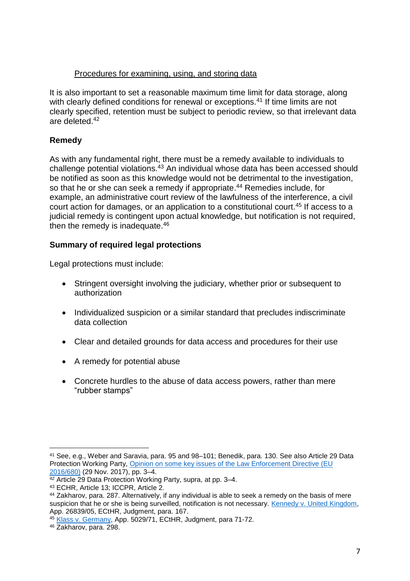# Procedures for examining, using, and storing data

It is also important to set a reasonable maximum time limit for data storage, along with clearly defined conditions for renewal or exceptions.<sup>41</sup> If time limits are not clearly specified, retention must be subject to periodic review, so that irrelevant data are deleted.<sup>42</sup>

# **Remedy**

As with any fundamental right, there must be a remedy available to individuals to challenge potential violations.<sup>43</sup> An individual whose data has been accessed should be notified as soon as this knowledge would not be detrimental to the investigation, so that he or she can seek a remedy if appropriate.<sup>44</sup> Remedies include, for example, an administrative court review of the lawfulness of the interference, a civil court action for damages, or an application to a constitutional court.<sup>45</sup> If access to a judicial remedy is contingent upon actual knowledge, but notification is not required, then the remedy is inadequate.<sup>46</sup>

# **Summary of required legal protections**

Legal protections must include:

- Stringent oversight involving the judiciary, whether prior or subsequent to authorization
- Individualized suspicion or a similar standard that precludes indiscriminate data collection
- Clear and detailed grounds for data access and procedures for their use
- A remedy for potential abuse
- Concrete hurdles to the abuse of data access powers, rather than mere "rubber stamps"

l <sup>41</sup> See, e.g., Weber and Saravia, para. 95 and 98–101; Benedik, para. 130. See also Article 29 Data Protection Working Party, Opinion on some key issues of the Law Enforcement Directive (EU [2016/680\)](http://ec.europa.eu/newsroom/just/document.cfm?doc_id=48804) (29 Nov. 2017), pp. 3–4.

 $42$  Article 29 Data Protection Working Party, supra, at pp. 3–4.

<sup>43</sup> ECHR, Article 13; ICCPR, Article 2.

<sup>44</sup> Zakharov, para. 287. Alternatively, if any individual is able to seek a remedy on the basis of mere suspicion that he or she is being surveilled, notification is not necessary. Kennedy [v. United Kingdom,](http://hudoc.echr.coe.int/eng?i=001-98473) App. 26839/05, ECtHR, Judgment, para. 167.

<sup>45</sup> [Klass v. Germany,](http://hudoc.echr.coe.int/eng?i=001-57510) App. 5029/71, ECtHR, Judgment, para 71-72.

<sup>46</sup> Zakharov, para. 298.